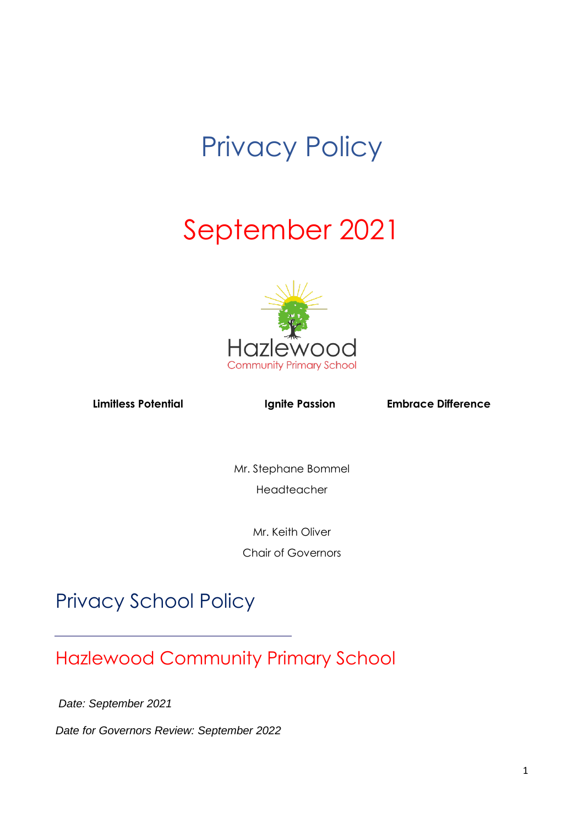# Privacy Policy

# September 2021



Limitless Potential **Ignite Passion** Embrace Difference

Mr. Stephane Bommel Headteacher

Mr. Keith Oliver

Chair of Governors

# Privacy School Policy

# Hazlewood Community Primary School

*Date: September 2021*

l

*Date for Governors Review: September 2022*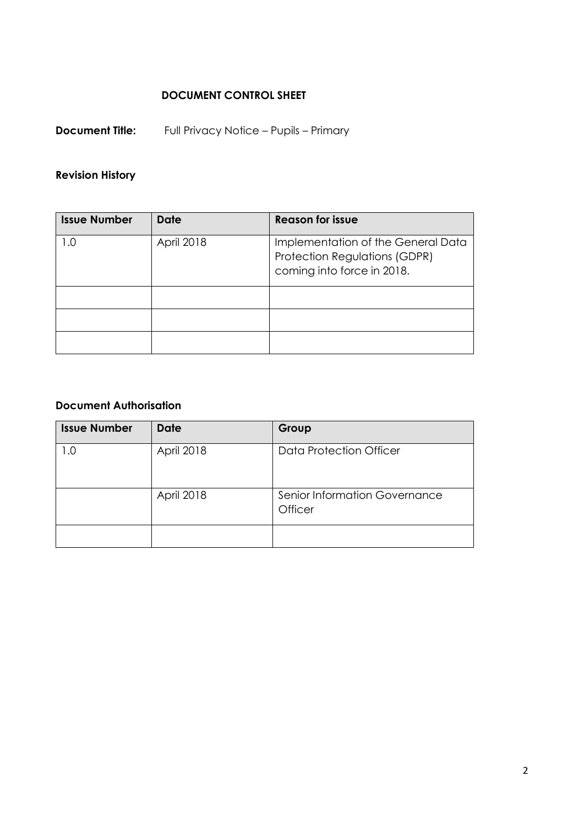# **DOCUMENT CONTROL SHEET**

**Document Title:** Full Privacy Notice – Pupils – Primary

# **Revision History**

| <b>Issue Number</b> | <b>Date</b> | <b>Reason for issue</b>                                                                                  |
|---------------------|-------------|----------------------------------------------------------------------------------------------------------|
| ∣.O                 | April 2018  | Implementation of the General Data<br><b>Protection Regulations (GDPR)</b><br>coming into force in 2018. |
|                     |             |                                                                                                          |
|                     |             |                                                                                                          |
|                     |             |                                                                                                          |

# **Document Authorisation**

| <b>Issue Number</b> | <b>Date</b>       | Group                                    |
|---------------------|-------------------|------------------------------------------|
| 1.0                 | <b>April 2018</b> | Data Protection Officer                  |
|                     | <b>April 2018</b> | Senior Information Governance<br>Officer |
|                     |                   |                                          |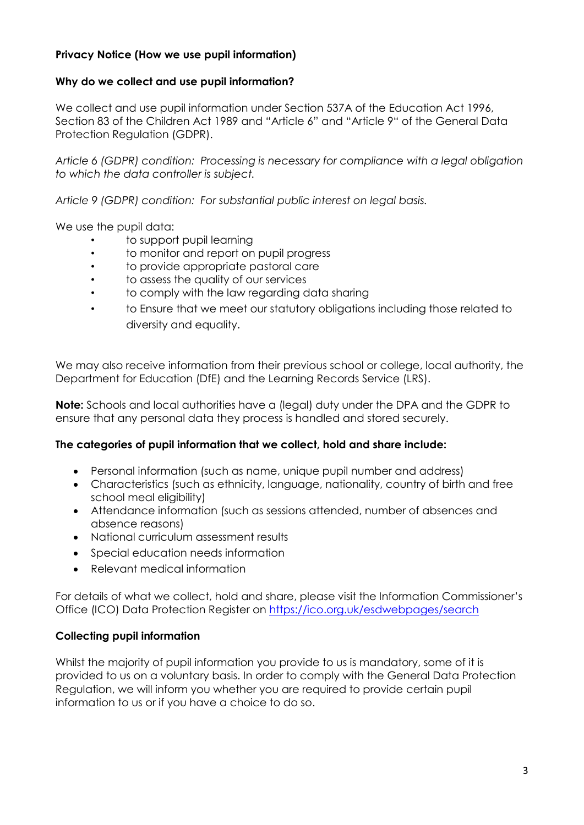# **Privacy Notice (How we use pupil information)**

# **Why do we collect and use pupil information?**

We collect and use pupil information under Section 537A of the Education Act 1996, Section 83 of the Children Act 1989 and "Article 6" and "Article 9" of the General Data Protection Regulation (GDPR).

*Article 6 (GDPR) condition: Processing is necessary for compliance with a legal obligation to which the data controller is subject.*

*Article 9 (GDPR) condition: For substantial public interest on legal basis.*

We use the pupil data:

- to support pupil learning
- to monitor and report on pupil progress
- to provide appropriate pastoral care
- to assess the quality of our services
- to comply with the law regarding data sharing
- to Ensure that we meet our statutory obligations including those related to diversity and equality.

We may also receive information from their previous school or college, local authority, the Department for Education (DfE) and the Learning Records Service (LRS).

**Note:** Schools and local authorities have a (legal) duty under the DPA and the GDPR to ensure that any personal data they process is handled and stored securely.

#### **The categories of pupil information that we collect, hold and share include:**

- Personal information (such as name, unique pupil number and address)
- Characteristics (such as ethnicity, language, nationality, country of birth and free school meal eligibility)
- Attendance information (such as sessions attended, number of absences and absence reasons)
- National curriculum assessment results
- Special education needs information
- Relevant medical information

For details of what we collect, hold and share, please visit the Information Commissioner's Office (ICO) Data Protection Register on<https://ico.org.uk/esdwebpages/search>

#### **Collecting pupil information**

Whilst the majority of pupil information you provide to us is mandatory, some of it is provided to us on a voluntary basis. In order to comply with the General Data Protection Regulation, we will inform you whether you are required to provide certain pupil information to us or if you have a choice to do so.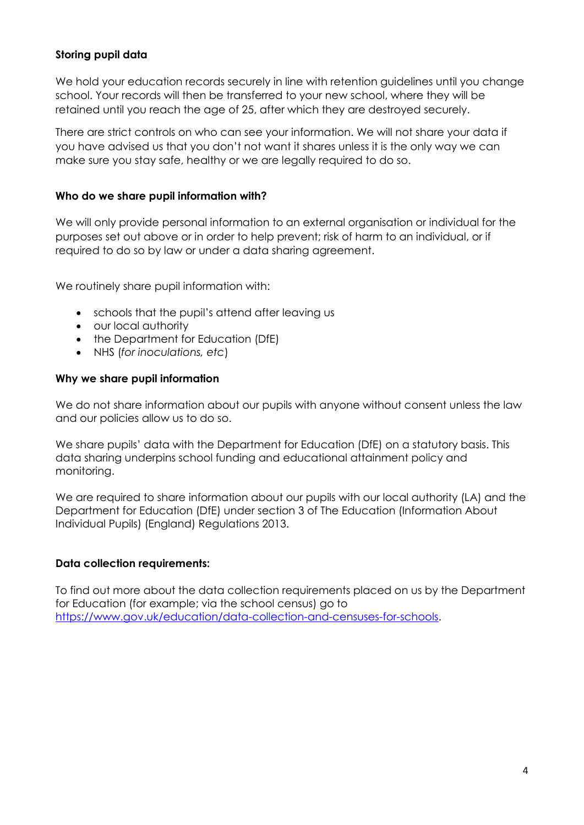# **Storing pupil data**

We hold your education records securely in line with retention guidelines until you change school. Your records will then be transferred to your new school, where they will be retained until you reach the age of 25, after which they are destroyed securely.

There are strict controls on who can see your information. We will not share your data if you have advised us that you don't not want it shares unless it is the only way we can make sure you stay safe, healthy or we are legally required to do so.

#### **Who do we share pupil information with?**

We will only provide personal information to an external organisation or individual for the purposes set out above or in order to help prevent; risk of harm to an individual, or if required to do so by law or under a data sharing agreement.

We routinely share pupil information with:

- schools that the pupil's attend after leaving us
- our local authority
- the Department for Education (DfE)
- NHS (*for inoculations, etc*)

#### **Why we share pupil information**

We do not share information about our pupils with anyone without consent unless the law and our policies allow us to do so.

We share pupils' data with the Department for Education (DfE) on a statutory basis. This data sharing underpins school funding and educational attainment policy and monitoring.

We are required to share information about our pupils with our local authority (LA) and the Department for Education (DfE) under section 3 of The Education (Information About Individual Pupils) (England) Regulations 2013.

#### **Data collection requirements:**

To find out more about the data collection requirements placed on us by the Department for Education (for example; via the school census) go to [https://www.gov.uk/education/data-collection-and-censuses-for-schools.](https://www.gov.uk/education/data-collection-and-censuses-for-schools)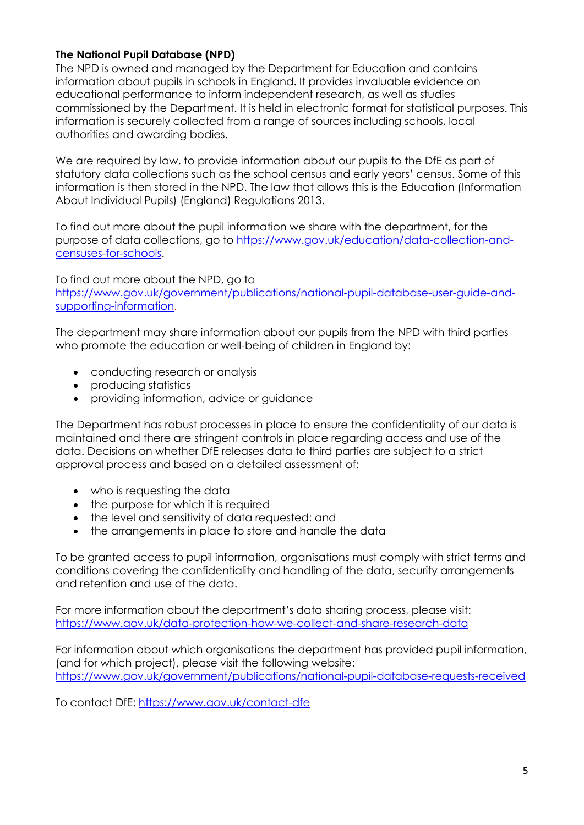### **The National Pupil Database (NPD)**

The NPD is owned and managed by the Department for Education and contains information about pupils in schools in England. It provides invaluable evidence on educational performance to inform independent research, as well as studies commissioned by the Department. It is held in electronic format for statistical purposes. This information is securely collected from a range of sources including schools, local authorities and awarding bodies.

We are required by law, to provide information about our pupils to the DfE as part of statutory data collections such as the school census and early years' census. Some of this information is then stored in the NPD. The law that allows this is the Education (Information About Individual Pupils) (England) Regulations 2013.

To find out more about the pupil information we share with the department, for the purpose of data collections, go to [https://www.gov.uk/education/data-collection-and](https://www.gov.uk/education/data-collection-and-censuses-for-schools)[censuses-for-schools.](https://www.gov.uk/education/data-collection-and-censuses-for-schools)

To find out more about the NPD, go to https://www.gov.uk/government/publications/national-pupil-database-user-auide-and[supporting-information.](https://www.gov.uk/government/publications/national-pupil-database-user-guide-and-supporting-information)

The department may share information about our pupils from the NPD with third parties who promote the education or well-being of children in England by:

- conducting research or analysis
- producing statistics
- providing information, advice or guidance

The Department has robust processes in place to ensure the confidentiality of our data is maintained and there are stringent controls in place regarding access and use of the data. Decisions on whether DfE releases data to third parties are subject to a strict approval process and based on a detailed assessment of:

- who is requesting the data
- the purpose for which it is required
- the level and sensitivity of data requested: and
- the arrangements in place to store and handle the data

To be granted access to pupil information, organisations must comply with strict terms and conditions covering the confidentiality and handling of the data, security arrangements and retention and use of the data.

For more information about the department's data sharing process, please visit: <https://www.gov.uk/data-protection-how-we-collect-and-share-research-data>

For information about which organisations the department has provided pupil information, (and for which project), please visit the following website: <https://www.gov.uk/government/publications/national-pupil-database-requests-received>

To contact DfE:<https://www.gov.uk/contact-dfe>